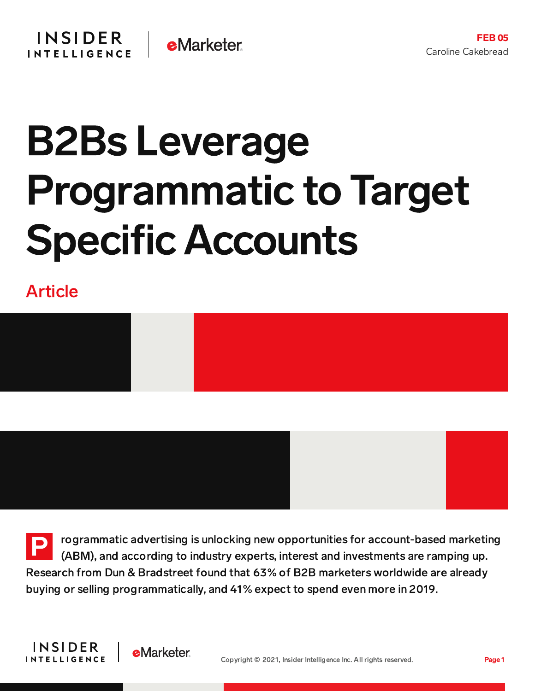## B2Bs Leverage Programmatic to Target Specific Accounts

Article



P rogrammatic advertising is unlocking new opportunities for account-based marketing (ABM), and according to industry experts, interest and investments are ramping up. Research from Dun & Bradstreet found that 63% of B2B marketers worldwide are already buying or selling programmatically, and 41% expect to spend even more in 2019.

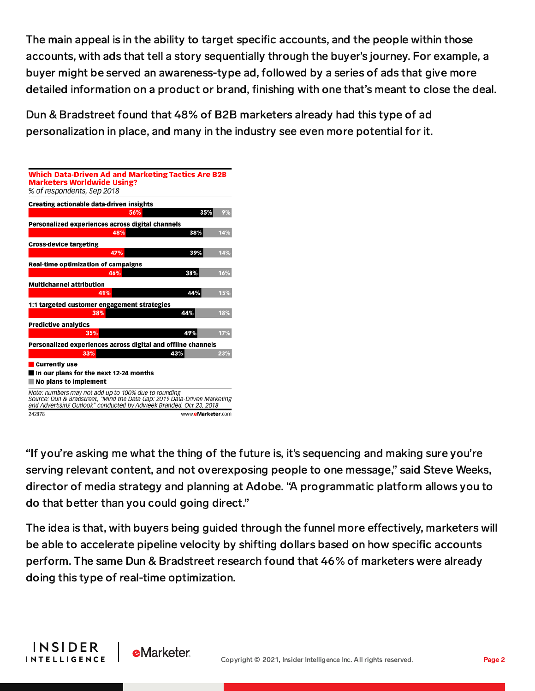The main appeal is in the ability to target specific accounts, and the people within those accounts, with ads that tell a story sequentially through the buyer's journey. For example, a buyer might be served an awareness-type ad, followed by a series of ads that give more detailed information on a product or brand, finishing with one that's meant to close the deal.

Dun & Bradstreet found that 48% of B2B marketers already had this type of ad personalization in place, and many in the industry see even more potential for it.

| <b>Which Data-Driven Ad and Marketing Tactics Are B2B</b><br><b>Marketers Worldwide Using?</b><br>% of respondents, Sep 2018                                                                           |                   |     |
|--------------------------------------------------------------------------------------------------------------------------------------------------------------------------------------------------------|-------------------|-----|
| Creating actionable data-driven insights                                                                                                                                                               |                   |     |
|                                                                                                                                                                                                        | 35%<br>56%        | 9%  |
| Personalized experiences across digital channels                                                                                                                                                       |                   |     |
| 48%                                                                                                                                                                                                    | 38%               | 14% |
| <b>Cross-device targeting</b>                                                                                                                                                                          |                   |     |
| 47%                                                                                                                                                                                                    | 39%               | 14% |
| <b>Real-time optimization of campaigns</b>                                                                                                                                                             |                   |     |
| 46%                                                                                                                                                                                                    | 38%               | 16% |
| <b>Multichannel attribution</b>                                                                                                                                                                        |                   |     |
| 41%                                                                                                                                                                                                    | 44%               | 15% |
| 1:1 targeted customer engagement strategies                                                                                                                                                            |                   |     |
| 38%                                                                                                                                                                                                    | 44%               | 18% |
| <b>Predictive analytics</b>                                                                                                                                                                            |                   |     |
| 35%                                                                                                                                                                                                    | 49%               | 17% |
| Personalized experiences across digital and offline channels                                                                                                                                           |                   |     |
| 33%                                                                                                                                                                                                    | 43%               | 23% |
| Currently use                                                                                                                                                                                          |                   |     |
| In our plans for the next 12-24 months                                                                                                                                                                 |                   |     |
| No plans to implement                                                                                                                                                                                  |                   |     |
| Note: numbers may not add up to 100% due to rounding<br>Source: Dun & Bradstreet, "Mind the Data Gap: 2019 Data-Driven Marketing<br>and Advertising Outlook" conducted by Adweek Branded, Oct 23, 2018 |                   |     |
| 242878                                                                                                                                                                                                 | www.eMarketer.com |     |

**INSIDER** 

**INTELLIGENCE** 

"If you're asking me what the thing of the future is, it's sequencing and making sure you're serving relevant content, and not overexposing people to one message," said Steve Weeks, director of media strategy and planning at Adobe. "A programmatic platform allows you to do that better than you could going direct."

The idea is that, with buyers being guided through the funnel more effectively, marketers will be able to accelerate pipeline velocity by shifting dollars based on how specific accounts perform. The same Dun & Bradstreet research found that 46% of marketers were already doing this type of real-time optimization.